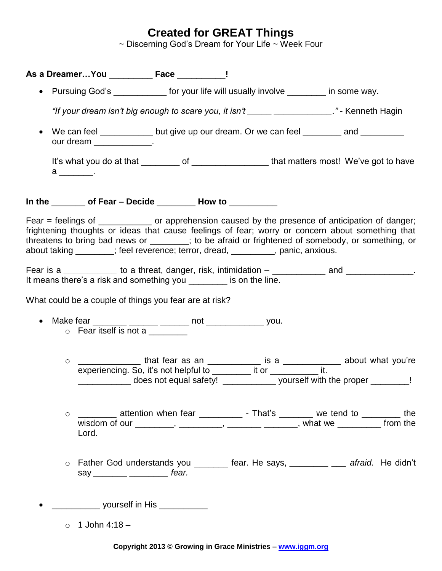## **Created for GREAT Things**

~ Discerning God's Dream for Your Life ~ Week Four

|                                         |                                                                                                                                                                                                                                                                                                                                                                                                                                                                                                  | • Pursuing God's ______________ for your life will usually involve _________ in some way. |  |                                                                                         |  |  |
|-----------------------------------------|--------------------------------------------------------------------------------------------------------------------------------------------------------------------------------------------------------------------------------------------------------------------------------------------------------------------------------------------------------------------------------------------------------------------------------------------------------------------------------------------------|-------------------------------------------------------------------------------------------|--|-----------------------------------------------------------------------------------------|--|--|
|                                         | "If your dream isn't big enough to scare you, it isn't _____ ______________." - Kenneth Hagin                                                                                                                                                                                                                                                                                                                                                                                                    |                                                                                           |  |                                                                                         |  |  |
| $\bullet$<br>our dream _______________. |                                                                                                                                                                                                                                                                                                                                                                                                                                                                                                  | We can feel _____________ but give up our dream. Or we can feel _________ and _________   |  |                                                                                         |  |  |
|                                         | It's what you do at that _________ of ________________________that matters most! We've got to have<br>$a \underline{\qquad}$ .                                                                                                                                                                                                                                                                                                                                                                   |                                                                                           |  |                                                                                         |  |  |
|                                         | In the _________ of Fear - Decide __________ How to __________                                                                                                                                                                                                                                                                                                                                                                                                                                   |                                                                                           |  |                                                                                         |  |  |
|                                         | Fear = feelings of ___________ or apprehension caused by the presence of anticipation of danger;<br>frightening thoughts or ideas that cause feelings of fear; worry or concern about something that<br>threatens to bring bad news or ______; to be afraid or frightened of somebody, or something, or<br>about taking _______; feel reverence; terror, dread, ________, panic, anxious.<br>Fear is a _____________ to a threat, danger, risk, intimidation – _____________ and ______________. |                                                                                           |  |                                                                                         |  |  |
|                                         | It means there's a risk and something you ________ is on the line.                                                                                                                                                                                                                                                                                                                                                                                                                               |                                                                                           |  |                                                                                         |  |  |
|                                         | What could be a couple of things you fear are at risk?                                                                                                                                                                                                                                                                                                                                                                                                                                           |                                                                                           |  |                                                                                         |  |  |
| $\bullet$                               | $\circ$ Fear itself is not a                                                                                                                                                                                                                                                                                                                                                                                                                                                                     |                                                                                           |  |                                                                                         |  |  |
|                                         | o _________________ that fear as an _____________ is a _____________ about what you're                                                                                                                                                                                                                                                                                                                                                                                                           | experiencing. So, it's not helpful to _________ it or __________ it.                      |  | does not equal safety! _____________ yourself with the proper ________!                 |  |  |
| $\circ$                                 | Lord.                                                                                                                                                                                                                                                                                                                                                                                                                                                                                            |                                                                                           |  | __________ attention when fear _____________ - That's ________ we tend to _________ the |  |  |
|                                         | $\circ$<br>say $\_\_\_\_\_\_\_\_\_\_\_\$ fear.                                                                                                                                                                                                                                                                                                                                                                                                                                                   |                                                                                           |  | Father God understands you ________ fear. He says, ________ ___ afraid. He didn't       |  |  |
|                                         | _____________ yourself in His ___________                                                                                                                                                                                                                                                                                                                                                                                                                                                        |                                                                                           |  |                                                                                         |  |  |
| $\circ$                                 | 1 John 4:18 –                                                                                                                                                                                                                                                                                                                                                                                                                                                                                    |                                                                                           |  |                                                                                         |  |  |
|                                         |                                                                                                                                                                                                                                                                                                                                                                                                                                                                                                  |                                                                                           |  |                                                                                         |  |  |